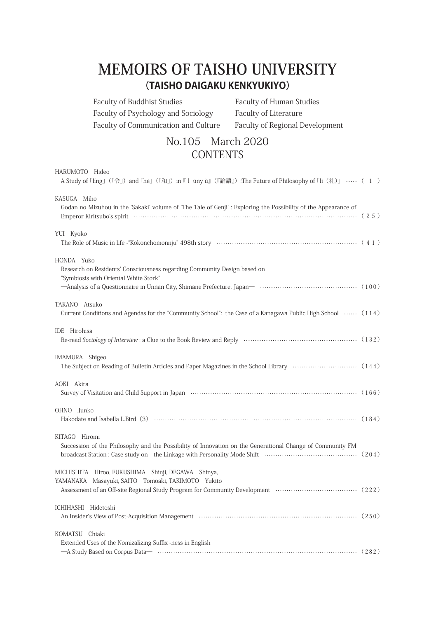## **UNIVERSITY TAISHO OF MEMOIRS (TAISHO DAIGAKU KENKYUKIYO)**

Faculty of Buddhist Studies Faculty of Human Studies Faculty of Psychology and Sociology Faculty of Literature Faculty of Communication and Culture Faculty of Regional Development

## No.105 March 2020 **CONTENTS**

| HARUMOTO Hideo<br>A Study of $\lceil \text{ling} \rfloor$ ( $\lceil \varphi \rfloor$ ) and $\lceil \text{h\'e} \rfloor$ ( $\lceil \varphi \rfloor$ ) in $\lceil \varphi \rfloor$ and $\lceil \varphi \rfloor$ and $\lceil \varphi \rfloor$ and $\lceil \varphi \rfloor$ and $\lceil \varphi \rfloor$ and $\lceil \varphi \rfloor$ and $\lceil \varphi \rfloor$ and $\lceil \varphi \rfloor$ and $\lceil \varphi \rfloor$ and |  |
|------------------------------------------------------------------------------------------------------------------------------------------------------------------------------------------------------------------------------------------------------------------------------------------------------------------------------------------------------------------------------------------------------------------------------|--|
| KASUGA Miho<br>Godan no Mizuhou in the 'Sakaki' volume of 'The Tale of Genji': Exploring the Possibility of the Appearance of                                                                                                                                                                                                                                                                                                |  |
| YUI Kyoko                                                                                                                                                                                                                                                                                                                                                                                                                    |  |
| HONDA Yuko<br>Research on Residents' Consciousness regarding Community Design based on<br>"Symbiosis with Oriental White Stork"                                                                                                                                                                                                                                                                                              |  |
| TAKANO Atsuko<br>Current Conditions and Agendas for the "Community School": the Case of a Kanagawa Public High School  (114)                                                                                                                                                                                                                                                                                                 |  |
| IDE Hirohisa                                                                                                                                                                                                                                                                                                                                                                                                                 |  |
| IMAMURA Shigeo                                                                                                                                                                                                                                                                                                                                                                                                               |  |
| AOKI Akira<br>Survey of Visitation and Child Support in Japan (2008) (2008) (2008) (2008) (2008) (2008) (2008) (2008) (2008)                                                                                                                                                                                                                                                                                                 |  |
| OHNO Junko                                                                                                                                                                                                                                                                                                                                                                                                                   |  |
| KITAGO Hiromi<br>Succession of the Philosophy and the Possibility of Innovation on the Generational Change of Community FM                                                                                                                                                                                                                                                                                                   |  |
| MICHISHITA Hiroo, FUKUSHIMA Shinji, DEGAWA Shinya,<br>YAMANAKA Masayuki, SAITO Tomoaki, TAKIMOTO Yukito<br>Assessment of an Off-site Regional Study Program for Community Development (222)                                                                                                                                                                                                                                  |  |
| ICHIHASHI Hidetoshi                                                                                                                                                                                                                                                                                                                                                                                                          |  |
| KOMATSU Chiaki<br>Extended Uses of the Nomizalizing Suffix -ness in English<br>-A Study Based on Corpus Data-<br>32)                                                                                                                                                                                                                                                                                                         |  |